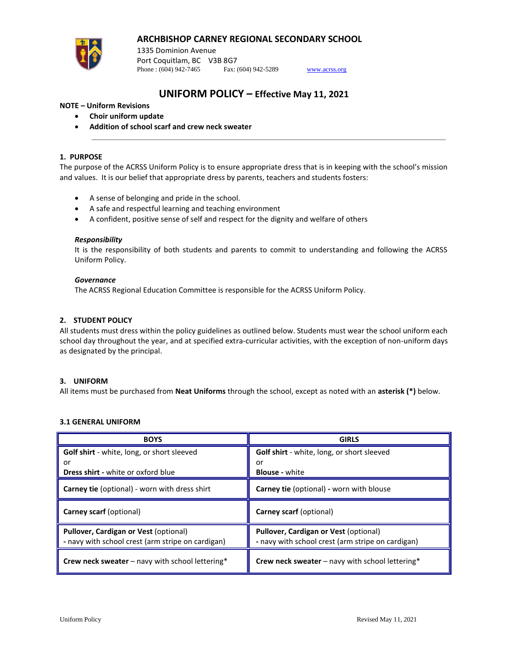# **ARCHBISHOP CARNEY REGIONAL SECONDARY SCHOOL**



1335 Dominion Avenue Port Coquitlam, BC V3B 8G7 Phone : (604) 942-7465 Fax: (604) 942-5289 [www.acrss.org](http://www.acrss.org/)

# **UNIFORM POLICY – Effective May 11, 2021**

# **NOTE – Uniform Revisions**

- **Choir uniform update**
- **Addition of school scarf and crew neck sweater**

### **1. PURPOSE**

The purpose of the ACRSS Uniform Policy is to ensure appropriate dress that is in keeping with the school's mission and values. It is our belief that appropriate dress by parents, teachers and students fosters:

- A sense of belonging and pride in the school.
- A safe and respectful learning and teaching environment
- A confident, positive sense of self and respect for the dignity and welfare of others

### *Responsibility*

It is the responsibility of both students and parents to commit to understanding and following the ACRSS Uniform Policy.

### *Governance*

The ACRSS Regional Education Committee is responsible for the ACRSS Uniform Policy.

## **2. STUDENT POLICY**

All students must dress within the policy guidelines as outlined below. Students must wear the school uniform each school day throughout the year, and at specified extra-curricular activities, with the exception of non-uniform days as designated by the principal.

### **3. UNIFORM**

All items must be purchased from **Neat Uniforms** through the school, except as noted with an **asterisk (\*)** below.

### **3.1 GENERAL UNIFORM**

| <b>BOYS</b>                                                                                | <b>GIRLS</b>                                                                               |
|--------------------------------------------------------------------------------------------|--------------------------------------------------------------------------------------------|
| <b>Golf shirt</b> - white, long, or short sleeved                                          | Golf shirt - white, long, or short sleeved                                                 |
| or                                                                                         | or                                                                                         |
| <b>Dress shirt - white or oxford blue</b>                                                  | <b>Blouse</b> - white                                                                      |
| <b>Carney tie (optional) - worn with dress shirt</b>                                       | <b>Carney tie (optional) - worn with blouse</b>                                            |
| Carney scarf (optional)                                                                    | Carney scarf (optional)                                                                    |
| Pullover, Cardigan or Vest (optional)<br>- navy with school crest (arm stripe on cardigan) | Pullover, Cardigan or Vest (optional)<br>- navy with school crest (arm stripe on cardigan) |
| Crew neck sweater - navy with school lettering*                                            | Crew neck sweater - navy with school lettering*                                            |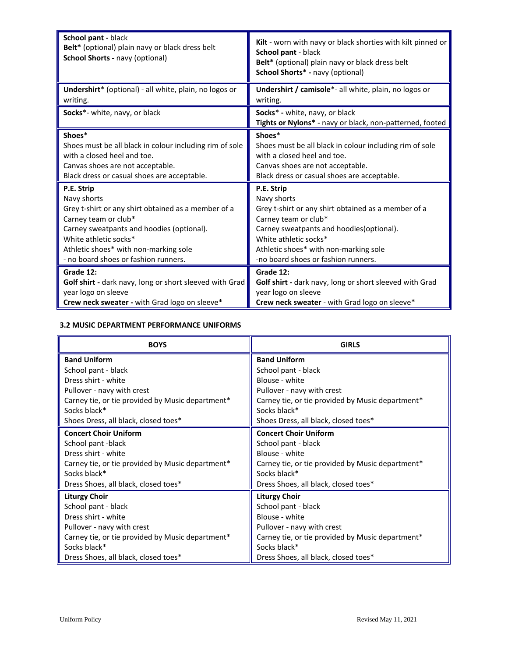| School pant - black<br>Belt* (optional) plain navy or black dress belt<br>School Shorts - navy (optional) | Kilt - worn with navy or black shorties with kilt pinned or<br>School pant - black<br>Belt* (optional) plain navy or black dress belt<br>School Shorts* - navy (optional) |
|-----------------------------------------------------------------------------------------------------------|---------------------------------------------------------------------------------------------------------------------------------------------------------------------------|
| Undershirt* (optional) - all white, plain, no logos or<br>writing.                                        | Undershirt / camisole*- all white, plain, no logos or<br>writing.                                                                                                         |
| Socks*- white, navy, or black                                                                             | Socks* - white, navy, or black<br>Tights or Nylons* - navy or black, non-patterned, footed                                                                                |
| Shoes*                                                                                                    | Shoes*                                                                                                                                                                    |
| Shoes must be all black in colour including rim of sole                                                   | Shoes must be all black in colour including rim of sole                                                                                                                   |
| with a closed heel and toe.                                                                               | with a closed heel and toe.                                                                                                                                               |
| Canvas shoes are not acceptable.                                                                          | Canvas shoes are not acceptable.                                                                                                                                          |
| Black dress or casual shoes are acceptable.                                                               | Black dress or casual shoes are acceptable.                                                                                                                               |
| P.E. Strip                                                                                                | P.E. Strip                                                                                                                                                                |
| Navy shorts                                                                                               | Navy shorts                                                                                                                                                               |
| Grey t-shirt or any shirt obtained as a member of a                                                       | Grey t-shirt or any shirt obtained as a member of a                                                                                                                       |
| Carney team or club*                                                                                      | Carney team or club*                                                                                                                                                      |
| Carney sweatpants and hoodies (optional).                                                                 | Carney sweatpants and hoodies(optional).                                                                                                                                  |
| White athletic socks*                                                                                     | White athletic socks*                                                                                                                                                     |
| Athletic shoes* with non-marking sole                                                                     | Athletic shoes* with non-marking sole                                                                                                                                     |
| - no board shoes or fashion runners.                                                                      | -no board shoes or fashion runners.                                                                                                                                       |
| Grade 12:                                                                                                 | Grade 12:                                                                                                                                                                 |
| Golf shirt - dark navy, long or short sleeved with Grad                                                   | Golf shirt - dark navy, long or short sleeved with Grad                                                                                                                   |
| year logo on sleeve                                                                                       | year logo on sleeve                                                                                                                                                       |
| Crew neck sweater - with Grad logo on sleeve*                                                             | Crew neck sweater - with Grad logo on sleeve*                                                                                                                             |

# **3.2 MUSIC DEPARTMENT PERFORMANCE UNIFORMS**

| <b>BOYS</b>                                      | <b>GIRLS</b>                                     |
|--------------------------------------------------|--------------------------------------------------|
| <b>Band Uniform</b>                              | <b>Band Uniform</b>                              |
| School pant - black                              | School pant - black                              |
| Dress shirt - white                              | Blouse - white                                   |
| Pullover - navy with crest                       | Pullover - navy with crest                       |
| Carney tie, or tie provided by Music department* | Carney tie, or tie provided by Music department* |
| Socks black*                                     | Socks black*                                     |
| Shoes Dress, all black, closed toes*             | Shoes Dress, all black, closed toes*             |
| <b>Concert Choir Uniform</b>                     | <b>Concert Choir Uniform</b>                     |
| School pant -black                               | School pant - black                              |
| Dress shirt - white                              | Blouse - white                                   |
| Carney tie, or tie provided by Music department* | Carney tie, or tie provided by Music department* |
| Socks black*                                     | Socks black*                                     |
| Dress Shoes, all black, closed toes*             | Dress Shoes, all black, closed toes*             |
| <b>Liturgy Choir</b>                             | <b>Liturgy Choir</b>                             |
| School pant - black                              | School pant - black                              |
| Dress shirt - white                              | Blouse - white                                   |
| Pullover - navy with crest                       | Pullover - navy with crest                       |
| Carney tie, or tie provided by Music department* | Carney tie, or tie provided by Music department* |
| Socks black*                                     | Socks black*                                     |
| Dress Shoes, all black, closed toes*             | Dress Shoes, all black, closed toes*             |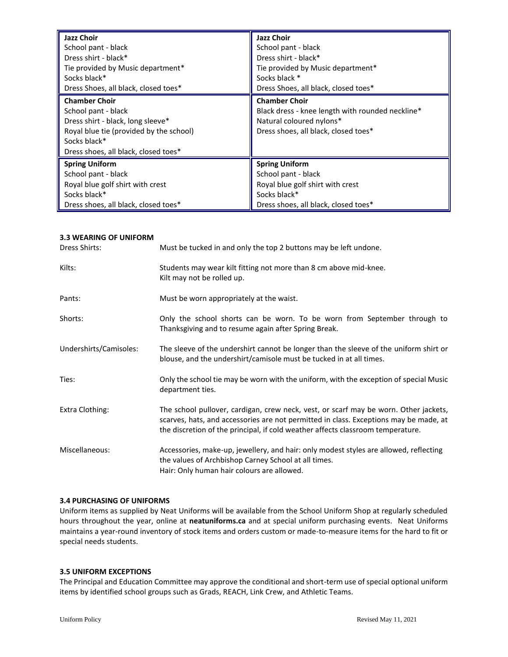| <b>Jazz Choir</b>                                                                                                                                                                   | <b>Jazz Choir</b>                                                                                                                            |
|-------------------------------------------------------------------------------------------------------------------------------------------------------------------------------------|----------------------------------------------------------------------------------------------------------------------------------------------|
| School pant - black                                                                                                                                                                 | School pant - black                                                                                                                          |
| Dress shirt - black*                                                                                                                                                                | Dress shirt - black*                                                                                                                         |
| Tie provided by Music department*                                                                                                                                                   | Tie provided by Music department*                                                                                                            |
| Socks black*                                                                                                                                                                        | Socks black *                                                                                                                                |
| Dress Shoes, all black, closed toes*                                                                                                                                                | Dress Shoes, all black, closed toes*                                                                                                         |
| <b>Chamber Choir</b><br>School pant - black<br>Dress shirt - black, long sleeve*<br>Royal blue tie (provided by the school)<br>Socks black*<br>Dress shoes, all black, closed toes* | <b>Chamber Choir</b><br>Black dress - knee length with rounded neckline*<br>Natural coloured nylons*<br>Dress shoes, all black, closed toes* |
| <b>Spring Uniform</b>                                                                                                                                                               | <b>Spring Uniform</b>                                                                                                                        |
| School pant - black                                                                                                                                                                 | School pant - black                                                                                                                          |
| Royal blue golf shirt with crest                                                                                                                                                    | Royal blue golf shirt with crest                                                                                                             |
| Socks black*                                                                                                                                                                        | Socks black*                                                                                                                                 |
| Dress shoes, all black, closed toes*                                                                                                                                                | Dress shoes, all black, closed toes*                                                                                                         |

## **3.3 WEARING OF UNIFORM**

| Dress Shirts:          | Must be tucked in and only the top 2 buttons may be left undone.                                                                                                                                                                                                 |
|------------------------|------------------------------------------------------------------------------------------------------------------------------------------------------------------------------------------------------------------------------------------------------------------|
| Kilts:                 | Students may wear kilt fitting not more than 8 cm above mid-knee.<br>Kilt may not be rolled up.                                                                                                                                                                  |
| Pants:                 | Must be worn appropriately at the waist.                                                                                                                                                                                                                         |
| Shorts:                | Only the school shorts can be worn. To be worn from September through to<br>Thanksgiving and to resume again after Spring Break.                                                                                                                                 |
| Undershirts/Camisoles: | The sleeve of the undershirt cannot be longer than the sleeve of the uniform shirt or<br>blouse, and the undershirt/camisole must be tucked in at all times.                                                                                                     |
| Ties:                  | Only the school tie may be worn with the uniform, with the exception of special Music<br>department ties.                                                                                                                                                        |
| Extra Clothing:        | The school pullover, cardigan, crew neck, vest, or scarf may be worn. Other jackets,<br>scarves, hats, and accessories are not permitted in class. Exceptions may be made, at<br>the discretion of the principal, if cold weather affects classroom temperature. |
| Miscellaneous:         | Accessories, make-up, jewellery, and hair: only modest styles are allowed, reflecting<br>the values of Archbishop Carney School at all times.<br>Hair: Only human hair colours are allowed.                                                                      |

### **3.4 PURCHASING OF UNIFORMS**

Uniform items as supplied by Neat Uniforms will be available from the School Uniform Shop at regularly scheduled hours throughout the year, online at **neatuniforms.ca** and at special uniform purchasing events. Neat Uniforms maintains a year-round inventory of stock items and orders custom or made-to-measure items for the hard to fit or special needs students.

## **3.5 UNIFORM EXCEPTIONS**

The Principal and Education Committee may approve the conditional and short-term use of special optional uniform items by identified school groups such as Grads, REACH, Link Crew, and Athletic Teams.